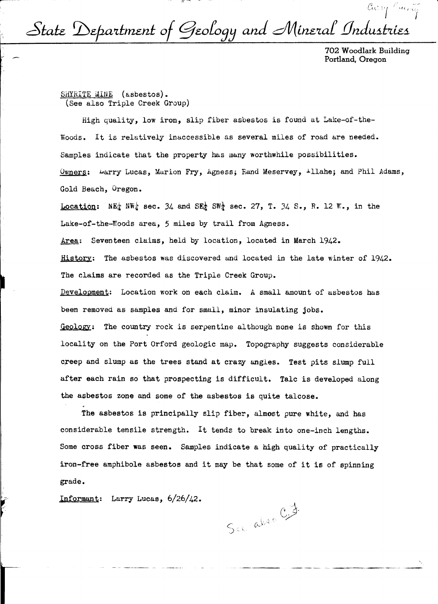$\alpha$ <sub>i'/</sub> / *anity* State Department of Geology and Mineral Industries

> 702 Woodlark Building Portland, Oregon

SHYRITE MINE (asbestos). (See also Triple Creek Group)

High quality, low iron, slip fiber asbestos is found at Lake-of-the-Woods. It is relatively inaccessible as several miles of road are needed. Samples indicate that the property has many worthwhile possibilities. Owners: Larry Lucas, Marion Fry, Agness; Rand Meservey, 1llahe; and Phil Adams, Gold Beach, Oregon.

Location:  $NE_{\mathcal{I}}^{\perp}$  NW<sub>i</sub> sec. 34 and SE<sub>i</sub> SW<sub>i</sub> sec. 27, T. 34 S., R. 12 W., in the Lake-of-the-Woods area, 5 miles by trail from Agness. Area: Seventeen claims, held by location, located in March 1942. History: The asbestos was discovered and located in the late winter of 1942. The claims are recorded as the Triple Creek Group. Development: Location work on each claim. A small amount of asbestos has been removed as samples and for small, minor insulating jobs. Geology: The country rock is serpentine al though none is shown for this locality on the Port Orford geologic map. Topography suggests considerable creep and slump as the trees stand at crazy angles. Test pits slump full after each rain so that prospecting is difficult. Talc is developed along the asbestos zone and some of the asbestos is quite talcose.

The asbestos is principally slip fiber, almost pure white, and has considerable tensile strength. It tends to break into one-inch lengths. Some cross fiber was seen. Samples indicate a high quality of practically iron-free amphibole asbestos and it may be that some of it is of spinning grade.

Informant: Larry Lucas, 6/26/42.

See also C.J.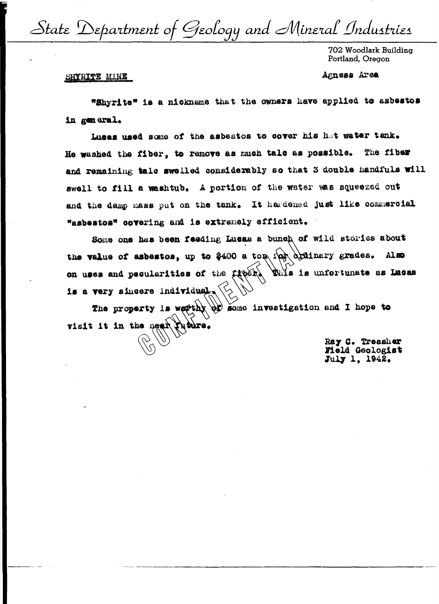State Department of Geology and Mineral Industries

702 Woodlark Building Portland, Oregon

Agness Area

## SHYRITE MINE

"Shyrite" is a nickname that the owners have applied to asbestos in general.

Lusas used some of the asbestos to cover his hot water tank. He washed the fiber. to remove as much talc as possible. The fiber and remaining tale swelled considerably so that 3 double handfuls will swell to fill a washtub. A portion of the water was squeezed out and the damp mass put on the tank. It hardened just like commercial "asbestos" covering and is extremely efficient.

Some one has been feeding Lucas a bunch of wild stories about the value of asbestos, up to \$400 a top in arianary grades. Also on uses and pecularities of the fiber This is unfortunate as Lucas is a very sincere individual.

The property is weether or some investigation and I hope to visit it in the near the ture.

> Ray C. Treasher Field Geologist July 1, 1942.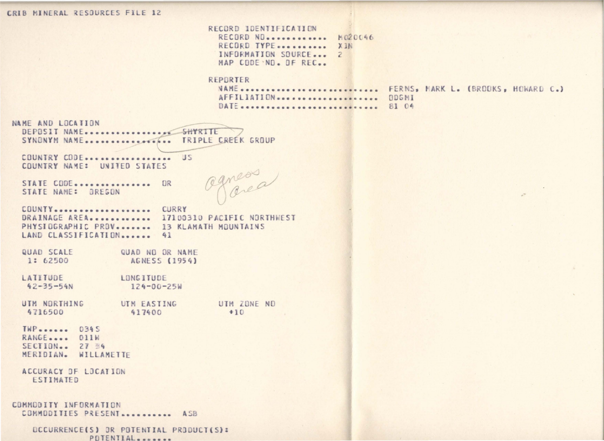## CRIB MINERAL RESOURCES FILE 12

RECORD IDENTIFICATION RECORD ND............ M020046 RECORD TYPE........... XIN INFORMATION SOURCE... 2 MAP CODE NO. OF REC.

## REPORTER

AFFILIATION ..................... DDGMI DATE ............................... 81 04

NAME ............................ FERNS, MARK L. (BROOKS, HOWARD C.)

NAME AND LOCATION SYNONYM NAME................... TRIPLE CREEK GROUP

COUNTRY CODE.................. US COUNTRY NAME: UNITED STATES

STATE CODE............... OR STATE NAME: OREGON

Ognessa

COUNTY.................... CURRY DRAINAGE AREA.............. 17100310 PACIFIC NORTHWEST PHYSIOGRAPHIC PROV. ...... 13 KLAMATH MOUNTAINS LAND CLASSIFICATION ...... 41

QUAD SCALE QUAD NO OR NAME 1: 62500 AGNESS (1954)

LATITUDE LONGITUDE  $42 - 35 - 54N$  $124 - 00 - 25$ 

UTM NORTHING UTM FASTING UTM ZONE ND 4716500 417400  $+10$ 

 $TWP$  ......  $034S$ RANGE.... 011W SECTION.. 27 34 MERIDIAN. WILLAMETTE

ACCURACY DF LOCATION ESTIMATED

COMMODITY INFORMATION COMMODITIES PRESENT............ ASB

> OCCURRENCE(S) OR POTENTIAL PRODUCT(S): POTENTIAL.......